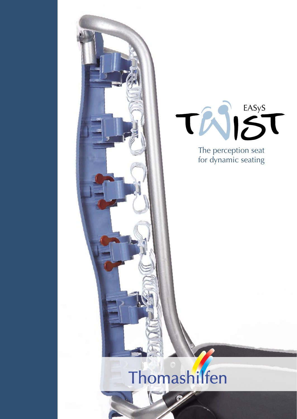



The perception seat for dynamic seating

# Thomashilfen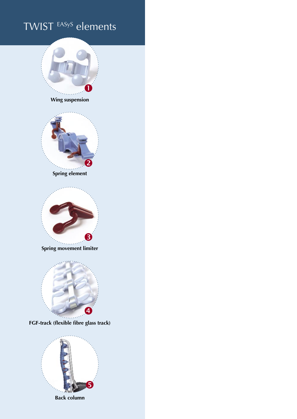# TWIST EASyS elements



**Back column**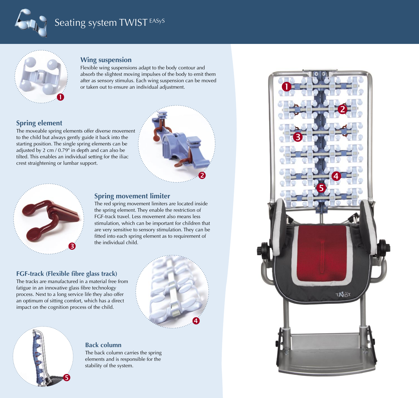



#### **Wing suspension**

Flexible wing suspensions adapt to the body contour and absorb the slightest moving impulses of the body to emit them after as sensory stimulus. Each wing suspension can be moved or taken out to ensure an individual adjustment.

#### **Spring element**

The moveable spring elements offer diverse movement to the child but always gently guide it back into the starting position. The single spring elements can be adjusted by 2 cm / 0.79" in depth and can also be tilted. This enables an individual setting for the iliac crest straightening or lumbar support.





#### **Spring movement limiter**

The red spring movement limiters are located inside the spring element. They enable the restriction of FGF-track travel. Less movement also means less stimulation, which can be important for children that are very sensitive to sensory stimulation. They can be fitted into each spring element as to requirement of the individual child.

#### **FGF-track (Flexible fibre glass track)**

The tracks are manufactured in a material free from fatigue in an innovative glass fibre technology process. Next to a long service life they also offer an optimum of sitting comfort, which has a direct impact on the cognition process of the child.



# $\bullet$

#### **Back column**

The back column carries the spring elements and is responsible for the stability of the system.

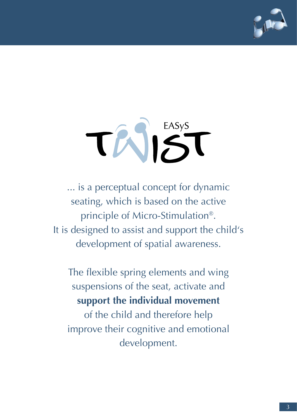

# TAIST

... is a perceptual concept for dynamic seating, which is based on the active principle of Micro-Stimulation®. It is designed to assist and support the child's development of spatial awareness.

The flexible spring elements and wing suspensions of the seat, activate and **support the individual movement**  of the child and therefore help improve their cognitive and emotional development.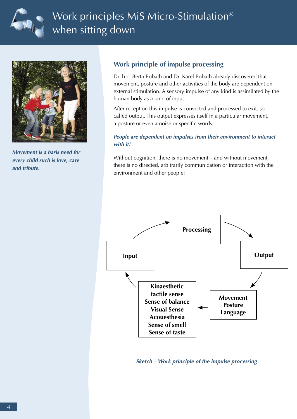

# Work principles MiS Micro-Stimulation® when sitting down



**Movement is a basis need for every child such is love, care and tribute.**

#### **Work principle of impulse processing**

Dr. h.c. Berta Bobath and Dr. Karel Bobath already discovered that movement, posture and other activities of the body are dependent on external stimulation. A sensory impulse of any kind is assimilated by the human body as a kind of input.

After reception this impulse is converted and processed to exit, so called output. This output expresses itself in a particular movement, a posture or even a noise or specific words.

#### **People are dependent on impulses from their environment to interact with it!**

Without cognition, there is no movement – and without movement, there is no directed, arbitrarily communication or interaction with the environment and other people:



#### **Sketch – Work principle of the impulse processing**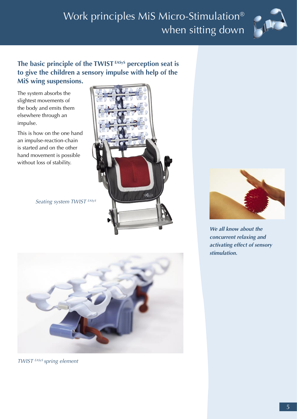

#### **The basic principle of the TWIST EASyS perception seat is to give the children a sensory impulse with help of the MiS wing suspensions.**

The system absorbs the slightest movements of the body and emits them elsewhere through an impulse.

This is how on the one hand an impulse-reaction-chain is started and on the other hand movement is possible without loss of stability.

Seating system TWIST EASyS





TWIST EASyS spring element



**We all know about the concurrent relaxing and activating effect of sensory stimulation.**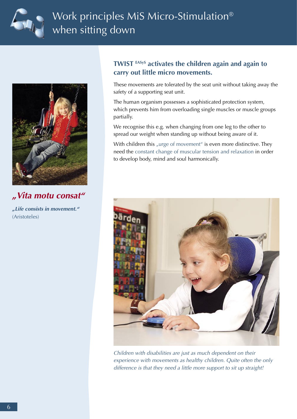



**"Vita motu consat"**

**"Life consists in movement."**  (Aristoteles)

#### **TWIST EASyS activates the children again and again to carry out little micro movements.**

These movements are tolerated by the seat unit without taking away the safety of a supporting seat unit.

The human organism possesses a sophisticated protection system, which prevents him from overloading single muscles or muscle groups partially.

We recognise this e.g. when changing from one leg to the other to spread our weight when standing up without being aware of it.

With children this "urge of movement" is even more distinctive. They need the constant change of muscular tension and relaxation in order to develop body, mind and soul harmonically.



Children with disabilities are just as much dependent on their experience with movements as healthy children. Quite often the only difference is that they need a little more support to sit up straight!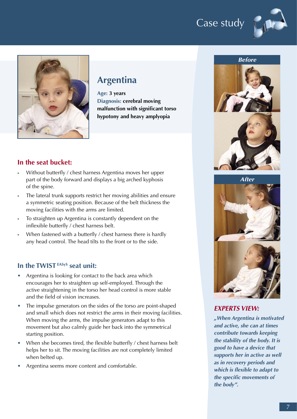# Case study





### **Argentina**

**Age: 3 years Diagnosis: cerebral moving malfunction with significant torso hypotony and heavy amplyopia**

#### **In the seat bucket:**

- **-** Without butterfly / chest harness Argentina moves her upper part of the body forward and displays a big arched kyphosis of the spine.
- **-** The lateral trunk supports restrict her moving abilities and ensure a symmetric seating position. Because of the belt thickness the moving facilities with the arms are limited.
- **-** To straighten up Argentina is constantly dependent on the inflexible butterfly / chest harness belt.
- **-** When fastened with a butterfly / chest harness there is hardly any head control. The head tilts to the front or to the side.

#### **In the TWIST EASyS seat unit:**

- Argentina is looking for contact to the back area which encourages her to straighten up self-employed. Through the active straightening in the torso her head control is more stable and the field of vision increases.
- The impulse generators on the sides of the torso are point-shaped and small which does not restrict the arms in their moving facilities. When moving the arms, the impulse generators adapt to this movement but also calmly guide her back into the symmetrical starting position.
- When she becomes tired, the flexible butterfly / chest harness belt helps her to sit. The moving facilities are not completely limited when belted up.
- Argentina seems more content and comfortable.







#### **EXPERTS VIEW:**

**"When Argentina is motivated and active, she can at times contribute towards keeping the stability of the body. It is good to have a device that supports her in active as well as in recovery periods and which is flexible to adapt to the specific movements of the body".**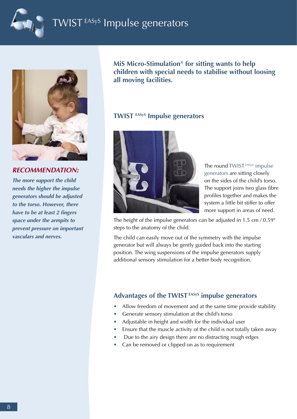

# WIST EASyS Impulse generators



**RECOMMENDATION:**

**The more support the child needs the higher the impulse generators should be adjusted to the torso. However, there have to be at least 2 fingers space under the armpits to prevent pressure on important vasculars and nerves.**

**MiS Micro-Stimulation® for sitting wants to help children with special needs to stabilise without loosing all moving facilities.** 

#### **TWIST EASyS Impulse generators**



The round TWIST<sup>EASyS</sup> impulse generators are sitting closely on the sides of the child's torso. The support joins two glass fibre profiles together and makes the system a little bit stiffer to offer more support in areas of need.

The height of the impulse generators can be adjusted in 1.5 cm / 0.59" steps to the anatomy of the child.

The child can easily move out of the symmetry with the impulse generator but will always be gently guided back into the starting position. The wing suspensions of the impulse generators supply additional sensory stimulation for a better body recognition.

#### **Advantages of the TWIST EASyS impulse generators**

- **•** Allow freedom of movement and at the same time provide stability
- **•** Generate sensory stimulation at the child's torso
- **•** Adjustable in height and width for the individual user
- **•** Ensure that the muscle activity of the child is not totally taken away
- **•** Due to the airy design there are no distracting rough edges
- **•** Can be removed or clipped on as to requirement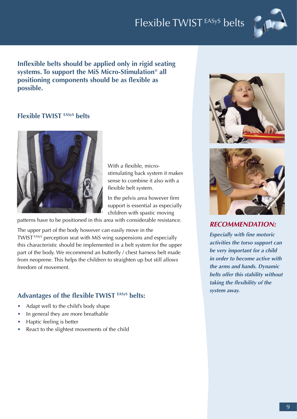# Flexible TWIST EASyS belts



**Inflexible belts should be applied only in rigid seating systems. To support the MiS Micro-Stimulation® all positioning components should be as flexible as possible.** 

#### **Flexible TWIST EASyS belts**



With a flexible, microstimulating back system it makes sense to combine it also with a flexible belt system.

In the pelvis area however firm support is essential as especially children with spastic moving

patterns have to be positioned in this area with considerable resistance.

The upper part of the body however can easily move in the TWIST EASyS perception seat with MiS wing suspensions and especially this characteristic should be implemented in a belt system for the upper part of the body. We recommend an butterfly / chest harness belt made from neoprene. This helps the children to straighten up but still allows freedom of movement.

#### **Advantages of the flexible TWIST EASyS belts:**

- Adapt well to the child's body shape
- In general they are more breathable
- Haptic feeling is better
- React to the slightest movements of the child





**RECOMMENDATION:**

**Especially with fine motoric activities the torso support can be very important for a child in order to become active with the arms and hands. Dynamic belts offer this stability without taking the flexibility of the system away.**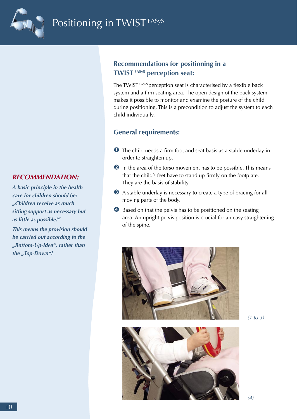

#### **RECOMMENDATION:**

**A basic principle in the health care for children should be: "Children receive as much sitting support as necessary but as little as possible!"**

**This means the provision should be carried out according to the "Bottom-Up-Idea", rather than**  the "Top-Down"!

#### **Recommendations for positioning in a TWIST EASyS perception seat:**

The TWIST<sup>EASyS</sup> perception seat is characterised by a flexible back system and a firm seating area. The open design of the back system makes it possible to monitor and examine the posture of the child during positioning. This is a precondition to adjust the system to each child individually.

#### **General requirements:**

- The child needs a firm foot and seat basis as a stable underlay in order to straighten up.
- **2** In the area of the torso movement has to be possible. This means that the child's feet have to stand up firmly on the footplate. They are the basis of stability.
- A stable underlay is necessary to create a type of bracing for all moving parts of the body.
- **4** Based on that the pelvis has to be positioned on the seating area. An upright pelvis position is crucial for an easy straightening of the spine.



 $(1 to 3)$ 



(4)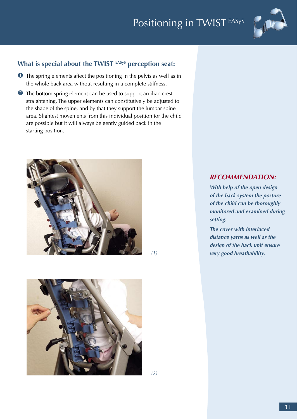# Positioning in TWIST EASyS



#### What is special about the TWIST EASyS perception seat:

- **O** The spring elements affect the positioning in the pelvis as well as in the whole back area without resulting in a complete stiffness.
- **2** The bottom spring element can be used to support an iliac crest straightening. The upper elements can constitutively be adjusted to the shape of the spine, and by that they support the lumbar spine area. Slightest movements from this individual position for the child are possible but it will always be gently guided back in the starting position.



(1)



#### **RECOMMENDATION:**

**With help of the open design of the back system the posture of the child can be thoroughly monitored and examined during setting.**

**The cover with interlaced distance yarns as well as the design of the back unit ensure very good breathability.**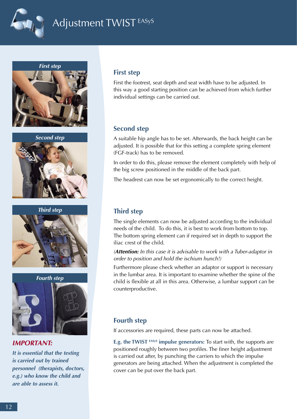

# Adjustment TWIST<sup>EASyS</sup>



**Second step**



**Third step**



#### **IMPORTANT:**

**It is essential that the testing is carried out by trained personnel (therapists, doctors, e.g.) who know the child and are able to assess it.**

#### **First step**

First the footrest, seat depth and seat width have to be adjusted. In this way a good starting position can be achieved from which further individual settings can be carried out.

#### **Second step**

A suitable hip angle has to be set. Afterwards, the back height can be adjusted. It is possible that for this setting a complete spring element (FGF-track) has to be removed.

In order to do this, please remove the element completely with help of the big screw positioned in the middle of the back part.

The headrest can now be set ergonomically to the correct height.

#### **Third step**

The single elements can now be adjusted according to the individual needs of the child. To do this, it is best to work from bottom to top. The bottom spring element can if required set in depth to support the iliac crest of the child.

(**Attention:** In this case it is advisable to work with a Tuber-adaptor in order to position and hold the ischium hunch!)

Furthermore please check whether an adaptor or support is necessary in the lumbar area. It is important to examine whether the spine of the child is flexible at all in this area. Otherwise, a lumbar support can be counterproductive.

#### **Fourth step**

If accessories are required, these parts can now be attached.

**E.g. the TWIST EASyS impulse generators:** To start with, the supports are positioned roughly between two profiles. The finer height adjustment is carried out after, by punching the carriers to which the impulse generators are being attached. When the adjustment is completed the cover can be put over the back part.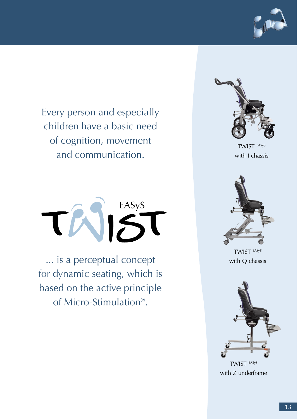

Every person and especially children have a basic need of cognition, movement and communication.



... is a perceptual concept for dynamic seating, which is based on the active principle of Micro-Stimulation®.



TWIST EASyS with J chassis



TWIST EASyS with Q chassis



with Z underframe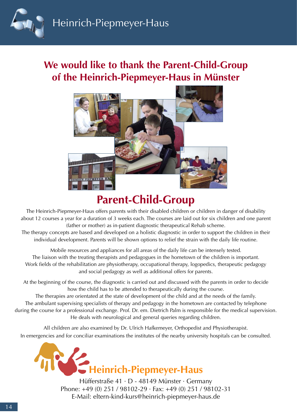

## **We would like to thank the Parent-Child-Group of the Heinrich-Piepmeyer-Haus in Münster**



# **Parent-Child-Group**

The Heinrich-Piepmeyer-Haus offers parents with their disabled children or children in danger of disability about 12 courses a year for a duration of 3 weeks each. The courses are laid out for six children and one parent (father or mother) as in-patient diagnostic therapeutical Rehab scheme.

The therapy concepts are based and developed on a holistic diagnostic in order to support the children in their individual development. Parents will be shown options to relief the strain with the daily life routine.

Mobile resources and appliances for all areas of the daily life can be intensely tested. The liaison with the treating therapists and pedagogues in the hometown of the children is important. Work fields of the rehabilitation are physiotherapy, occupational therapy, logopedics, therapeutic pedagogy and social pedagogy as well as additional offers for parents.

At the beginning of the course, the diagnostic is carried out and discussed with the parents in order to decide how the child has to be attended to therapeutically during the course.

The therapies are orientated at the state of development of the child and at the needs of the family. The ambulant supervising specialists of therapy and pedagogy in the hometown are contacted by telephone during the course for a professional exchange. Prof. Dr. em. Dietrich Palm is responsible for the medical supervision. He deals with neurological and general queries regarding children.

All children are also examined by Dr. Ulrich Hafkemeyer, Orthopedist and Physiotherapist. In emergencies and for conciliar examinations the institutes of the nearby university hospitals can be consulted.



Hüfferstraße 41 · D - 48149 Münster · Germany Phone: +49 (0) 251 / 98102-29 · Fax: +49 (0) 251 / 98102-31 E-Mail: eltern-kind-kurs@heinrich-piepmeyer-haus.de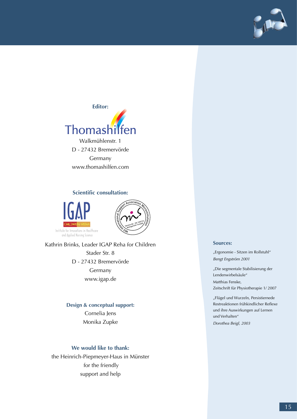



Germany www.thomashilfen.com

#### **Scientific consultation:**





Kathrin Brinks, Leader IGAP Reha for Children Stader Str. 8 D - 27432 Bremervörde Germany www.igap.de

#### **Design & conceptual support:**

Cornelia Jens Monika Zupke

#### **We would like to thank:**

the Heinrich-Piepmeyer-Haus in Münster for the friendly support and help

#### **Sources:**

"Ergonomie - Sitzen im Rollstuhl" Bengt Engström 2001

"Die segmentale Stabilisierung der Lendenwirbelsäule"

Matthias Fenske, Zeitschrift für Physiotherapie 1/ 2007

"Flügel und Wurzeln, Persistiernede Restreaktionen frühkindlicher Reflexe und ihre Auswirkungen auf Lernen und Verhalten"

Dorothea Beigl, 2003